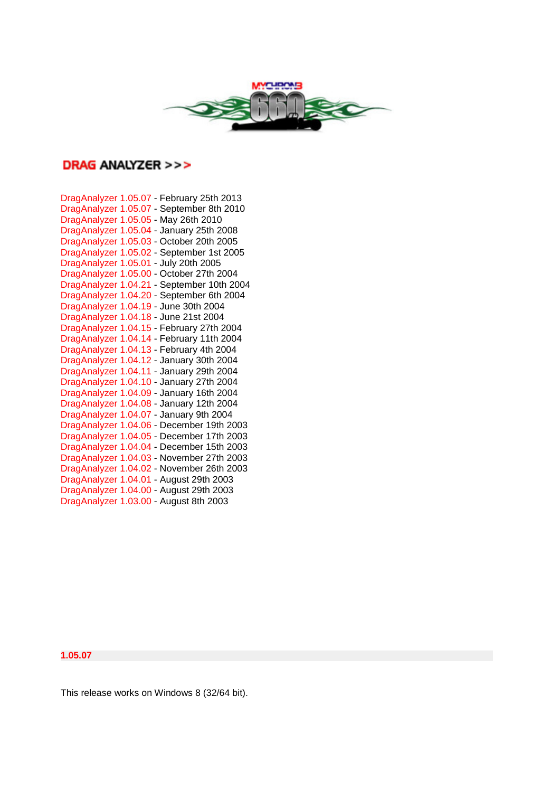

# **DRAG ANALYZER >>>**

| DragAnalyzer 1.05.07 - February 25th 2013  |
|--------------------------------------------|
| DragAnalyzer 1.05.07 - September 8th 2010  |
| DragAnalyzer 1.05.05 - May 26th 2010       |
| DragAnalyzer 1.05.04 - January 25th 2008   |
| DragAnalyzer 1.05.03 - October 20th 2005   |
| DragAnalyzer 1.05.02 - September 1st 2005  |
| DragAnalyzer 1.05.01 - July 20th 2005      |
| DragAnalyzer 1.05.00 - October 27th 2004   |
| DragAnalyzer 1.04.21 - September 10th 2004 |
| DragAnalyzer 1.04.20 - September 6th 2004  |
| DragAnalyzer 1.04.19 - June 30th 2004      |
| DragAnalyzer 1.04.18 - June 21st 2004      |
| DragAnalyzer 1.04.15 - February 27th 2004  |
| DragAnalyzer 1.04.14 - February 11th 2004  |
| DragAnalyzer 1.04.13 - February 4th 2004   |
| DragAnalyzer 1.04.12 - January 30th 2004   |
| DragAnalyzer 1.04.11 - January 29th 2004   |
| DragAnalyzer 1.04.10 - January 27th 2004   |
| DragAnalyzer 1.04.09 - January 16th 2004   |
| DragAnalyzer 1.04.08 - January 12th 2004   |
| DragAnalyzer 1.04.07 - January 9th 2004    |
| DragAnalyzer 1.04.06 - December 19th 2003  |
| DragAnalyzer 1.04.05 - December 17th 2003  |
| DragAnalyzer 1.04.04 - December 15th 2003  |
| DragAnalyzer 1.04.03 - November 27th 2003  |
| DragAnalyzer 1.04.02 - November 26th 2003  |
| DragAnalyzer 1.04.01 - August 29th 2003    |
| DragAnalyzer 1.04.00 - August 29th 2003    |
| DragAnalyzer 1.03.00 - August 8th 2003     |

**1.05.07**

This release works on Windows 8 (32/64 bit).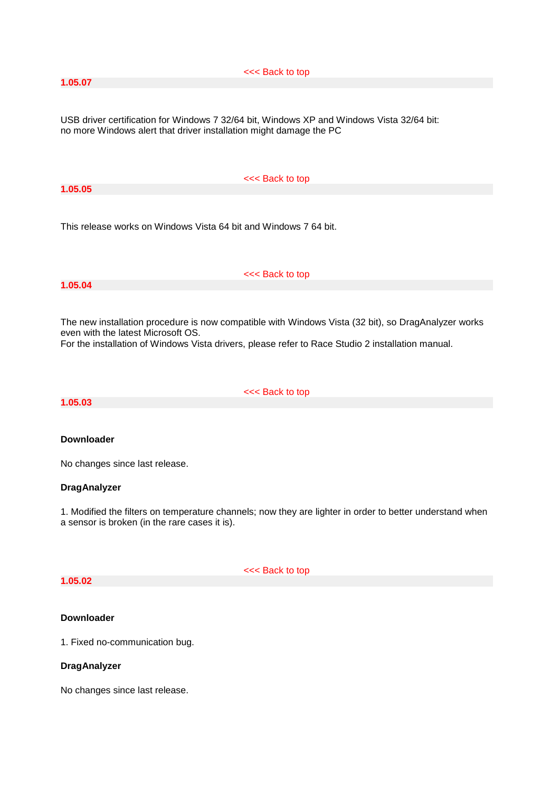**1.05.07**

#### <<< Back to top

USB driver certification for Windows 7 32/64 bit, Windows XP and Windows Vista 32/64 bit: no more Windows alert that driver installation might damage the PC

**1.05.05**

#### <<< Back to top

This release works on Windows Vista 64 bit and Windows 7 64 bit.

# **1.05.04**

<<< Back to top

The new installation procedure is now compatible with Windows Vista (32 bit), so DragAnalyzer works even with the latest Microsoft OS.

For the installation of Windows Vista drivers, please refer to Race Studio 2 installation manual.

**1.05.03**

<<< Back to top

# **Downloader**

No changes since last release.

#### **DragAnalyzer**

1. Modified the filters on temperature channels; now they are lighter in order to better understand when a sensor is broken (in the rare cases it is).

# **1.05.02**

<<< Back to top

#### **Downloader**

1. Fixed no-communication bug.

# **DragAnalyzer**

No changes since last release.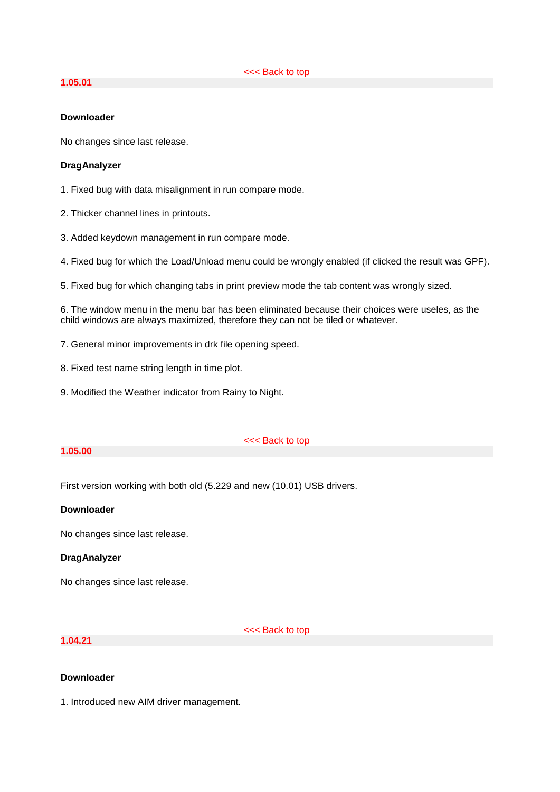# **1.05.01**

## **Downloader**

No changes since last release.

#### **DragAnalyzer**

1. Fixed bug with data misalignment in run compare mode.

- 2. Thicker channel lines in printouts.
- 3. Added keydown management in run compare mode.
- 4. Fixed bug for which the Load/Unload menu could be wrongly enabled (if clicked the result was GPF).
- 5. Fixed bug for which changing tabs in print preview mode the tab content was wrongly sized.

6. The window menu in the menu bar has been eliminated because their choices were useles, as the child windows are always maximized, therefore they can not be tiled or whatever.

- 7. General minor improvements in drk file opening speed.
- 8. Fixed test name string length in time plot.
- 9. Modified the Weather indicator from Rainy to Night.

#### **1.05.00**

#### <<< Back to top

First version working with both old (5.229 and new (10.01) USB drivers.

# **Downloader**

No changes since last release.

#### **DragAnalyzer**

No changes since last release.

# **1.04.21**

<<< Back to top

# **Downloader**

1. Introduced new AIM driver management.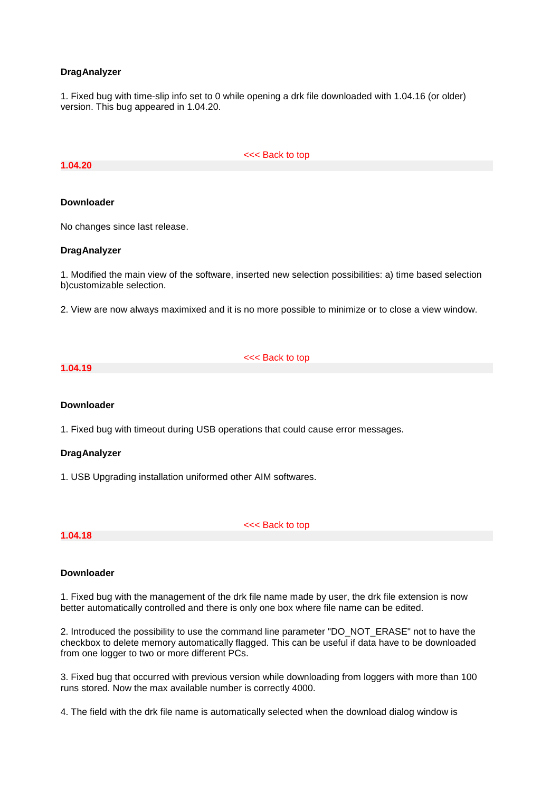#### **DragAnalyzer**

1. Fixed bug with time-slip info set to 0 while opening a drk file downloaded with 1.04.16 (or older) version. This bug appeared in 1.04.20.

#### **1.04.20**

<<< Back to top

#### **Downloader**

No changes since last release.

#### **DragAnalyzer**

1. Modified the main view of the software, inserted new selection possibilities: a) time based selection b)customizable selection.

2. View are now always maximixed and it is no more possible to minimize or to close a view window.

#### **1.04.19**

<<< Back to top

#### **Downloader**

1. Fixed bug with timeout during USB operations that could cause error messages.

#### **DragAnalyzer**

1. USB Upgrading installation uniformed other AIM softwares.

#### **1.04.18**

<<< Back to top

#### **Downloader**

1. Fixed bug with the management of the drk file name made by user, the drk file extension is now better automatically controlled and there is only one box where file name can be edited.

2. Introduced the possibility to use the command line parameter "DO\_NOT\_ERASE" not to have the checkbox to delete memory automatically flagged. This can be useful if data have to be downloaded from one logger to two or more different PCs.

3. Fixed bug that occurred with previous version while downloading from loggers with more than 100 runs stored. Now the max available number is correctly 4000.

4. The field with the drk file name is automatically selected when the download dialog window is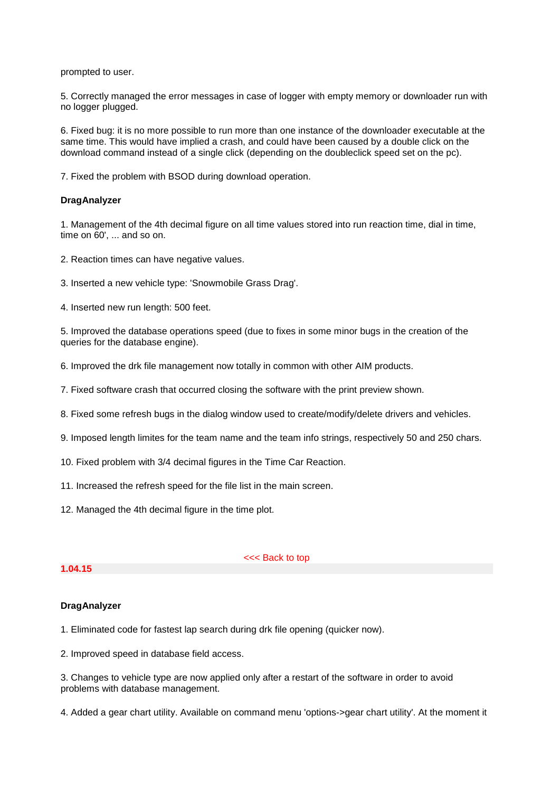prompted to user.

5. Correctly managed the error messages in case of logger with empty memory or downloader run with no logger plugged.

6. Fixed bug: it is no more possible to run more than one instance of the downloader executable at the same time. This would have implied a crash, and could have been caused by a double click on the download command instead of a single click (depending on the doubleclick speed set on the pc).

7. Fixed the problem with BSOD during download operation.

#### **DragAnalyzer**

1. Management of the 4th decimal figure on all time values stored into run reaction time, dial in time, time on 60', ... and so on.

- 2. Reaction times can have negative values.
- 3. Inserted a new vehicle type: 'Snowmobile Grass Drag'.
- 4. Inserted new run length: 500 feet.

5. Improved the database operations speed (due to fixes in some minor bugs in the creation of the queries for the database engine).

- 6. Improved the drk file management now totally in common with other AIM products.
- 7. Fixed software crash that occurred closing the software with the print preview shown.
- 8. Fixed some refresh bugs in the dialog window used to create/modify/delete drivers and vehicles.
- 9. Imposed length limites for the team name and the team info strings, respectively 50 and 250 chars.
- 10. Fixed problem with 3/4 decimal figures in the Time Car Reaction.
- 11. Increased the refresh speed for the file list in the main screen.
- 12. Managed the 4th decimal figure in the time plot.

### **1.04.15**

<<< Back to top

#### **DragAnalyzer**

- 1. Eliminated code for fastest lap search during drk file opening (quicker now).
- 2. Improved speed in database field access.

3. Changes to vehicle type are now applied only after a restart of the software in order to avoid problems with database management.

4. Added a gear chart utility. Available on command menu 'options->gear chart utility'. At the moment it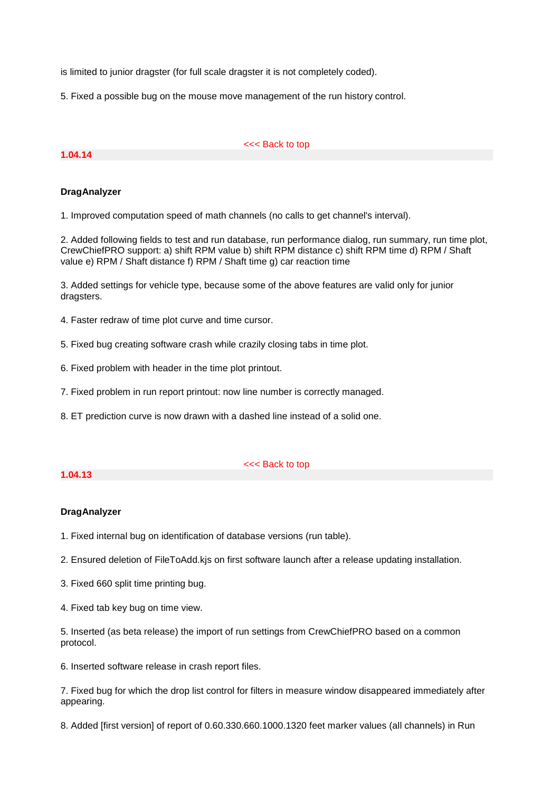is limited to junior dragster (for full scale dragster it is not completely coded).

5. Fixed a possible bug on the mouse move management of the run history control.

#### **1.04.14**

#### <<< Back to top

# **DragAnalyzer**

1. Improved computation speed of math channels (no calls to get channel's interval).

2. Added following fields to test and run database, run performance dialog, run summary, run time plot, CrewChiefPRO support: a) shift RPM value b) shift RPM distance c) shift RPM time d) RPM / Shaft value e) RPM / Shaft distance f) RPM / Shaft time g) car reaction time

3. Added settings for vehicle type, because some of the above features are valid only for junior dragsters.

- 4. Faster redraw of time plot curve and time cursor.
- 5. Fixed bug creating software crash while crazily closing tabs in time plot.
- 6. Fixed problem with header in the time plot printout.
- 7. Fixed problem in run report printout: now line number is correctly managed.
- 8. ET prediction curve is now drawn with a dashed line instead of a solid one.

#### **1.04.13**

#### <<< Back to top

#### **DragAnalyzer**

1. Fixed internal bug on identification of database versions (run table).

- 2. Ensured deletion of FileToAdd.kjs on first software launch after a release updating installation.
- 3. Fixed 660 split time printing bug.
- 4. Fixed tab key bug on time view.

5. Inserted (as beta release) the import of run settings from CrewChiefPRO based on a common protocol.

6. Inserted software release in crash report files.

7. Fixed bug for which the drop list control for filters in measure window disappeared immediately after appearing.

8. Added [first version] of report of 0.60.330.660.1000.1320 feet marker values (all channels) in Run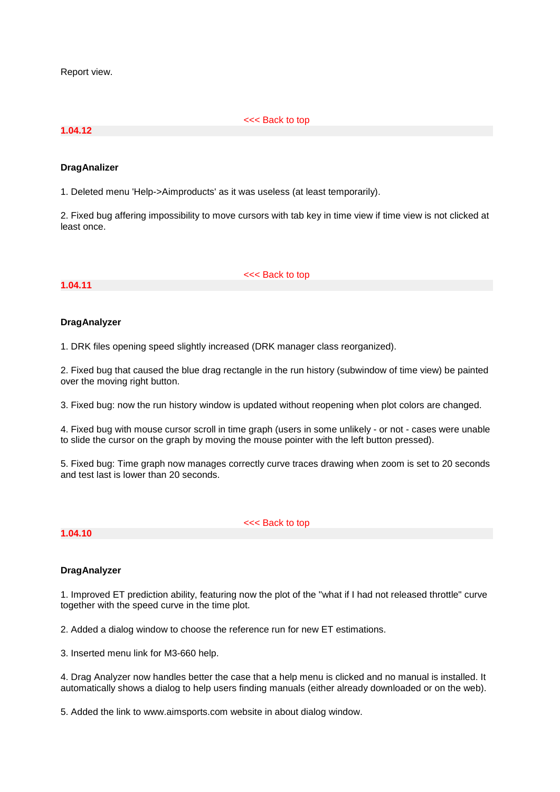Report view.

#### **1.04.12**

<<< Back to top

#### **DragAnalizer**

1. Deleted menu 'Help->Aimproducts' as it was useless (at least temporarily).

2. Fixed bug affering impossibility to move cursors with tab key in time view if time view is not clicked at least once.

#### **1.04.11**

<<< Back to top

#### **DragAnalyzer**

1. DRK files opening speed slightly increased (DRK manager class reorganized).

2. Fixed bug that caused the blue drag rectangle in the run history (subwindow of time view) be painted over the moving right button.

3. Fixed bug: now the run history window is updated without reopening when plot colors are changed.

4. Fixed bug with mouse cursor scroll in time graph (users in some unlikely - or not - cases were unable to slide the cursor on the graph by moving the mouse pointer with the left button pressed).

5. Fixed bug: Time graph now manages correctly curve traces drawing when zoom is set to 20 seconds and test last is lower than 20 seconds.

#### **1.04.10**

<<< Back to top

#### **DragAnalyzer**

1. Improved ET prediction ability, featuring now the plot of the "what if I had not released throttle" curve together with the speed curve in the time plot.

2. Added a dialog window to choose the reference run for new ET estimations.

3. Inserted menu link for M3-660 help.

4. Drag Analyzer now handles better the case that a help menu is clicked and no manual is installed. It automatically shows a dialog to help users finding manuals (either already downloaded or on the web).

5. Added the link to www.aimsports.com website in about dialog window.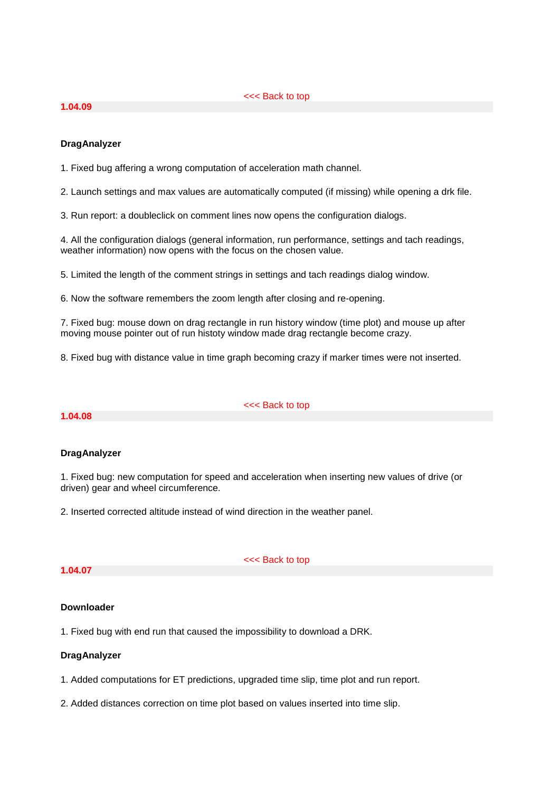#### <<< Back to top

### **1.04.09**

# **DragAnalyzer**

1. Fixed bug affering a wrong computation of acceleration math channel.

2. Launch settings and max values are automatically computed (if missing) while opening a drk file.

3. Run report: a doubleclick on comment lines now opens the configuration dialogs.

4. All the configuration dialogs (general information, run performance, settings and tach readings, weather information) now opens with the focus on the chosen value.

5. Limited the length of the comment strings in settings and tach readings dialog window.

6. Now the software remembers the zoom length after closing and re-opening.

7. Fixed bug: mouse down on drag rectangle in run history window (time plot) and mouse up after moving mouse pointer out of run histoty window made drag rectangle become crazy.

8. Fixed bug with distance value in time graph becoming crazy if marker times were not inserted.

**1.04.08**

<<< Back to top

#### **DragAnalyzer**

1. Fixed bug: new computation for speed and acceleration when inserting new values of drive (or driven) gear and wheel circumference.

2. Inserted corrected altitude instead of wind direction in the weather panel.

#### **1.04.07**

<<< Back to top

#### **Downloader**

1. Fixed bug with end run that caused the impossibility to download a DRK.

# **DragAnalyzer**

1. Added computations for ET predictions, upgraded time slip, time plot and run report.

2. Added distances correction on time plot based on values inserted into time slip.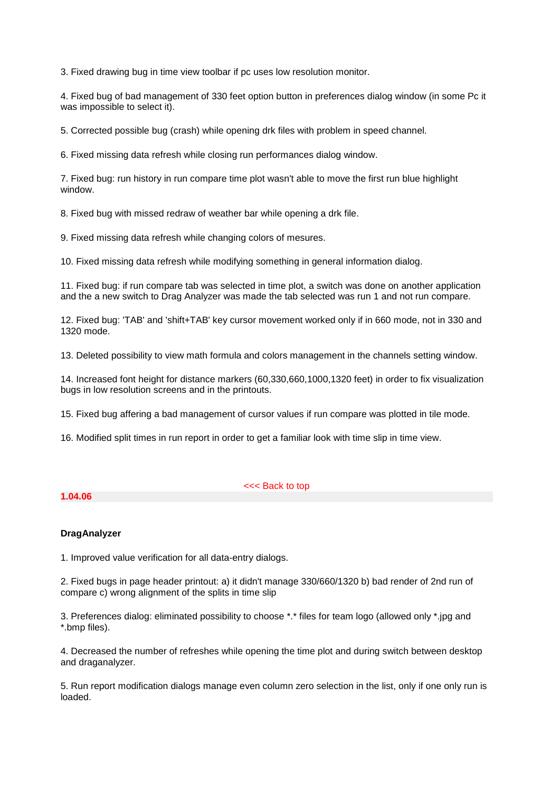3. Fixed drawing bug in time view toolbar if pc uses low resolution monitor.

4. Fixed bug of bad management of 330 feet option button in preferences dialog window (in some Pc it was impossible to select it).

5. Corrected possible bug (crash) while opening drk files with problem in speed channel.

6. Fixed missing data refresh while closing run performances dialog window.

7. Fixed bug: run history in run compare time plot wasn't able to move the first run blue highlight window.

8. Fixed bug with missed redraw of weather bar while opening a drk file.

9. Fixed missing data refresh while changing colors of mesures.

10. Fixed missing data refresh while modifying something in general information dialog.

11. Fixed bug: if run compare tab was selected in time plot, a switch was done on another application and the a new switch to Drag Analyzer was made the tab selected was run 1 and not run compare.

12. Fixed bug: 'TAB' and 'shift+TAB' key cursor movement worked only if in 660 mode, not in 330 and 1320 mode.

13. Deleted possibility to view math formula and colors management in the channels setting window.

14. Increased font height for distance markers (60,330,660,1000,1320 feet) in order to fix visualization bugs in low resolution screens and in the printouts.

15. Fixed bug affering a bad management of cursor values if run compare was plotted in tile mode.

16. Modified split times in run report in order to get a familiar look with time slip in time view.

#### <<< Back to top

**1.04.06**

# **DragAnalyzer**

1. Improved value verification for all data-entry dialogs.

2. Fixed bugs in page header printout: a) it didn't manage 330/660/1320 b) bad render of 2nd run of compare c) wrong alignment of the splits in time slip

3. Preferences dialog: eliminated possibility to choose \*.\* files for team logo (allowed only \*.jpg and \*.bmp files).

4. Decreased the number of refreshes while opening the time plot and during switch between desktop and draganalyzer.

5. Run report modification dialogs manage even column zero selection in the list, only if one only run is loaded.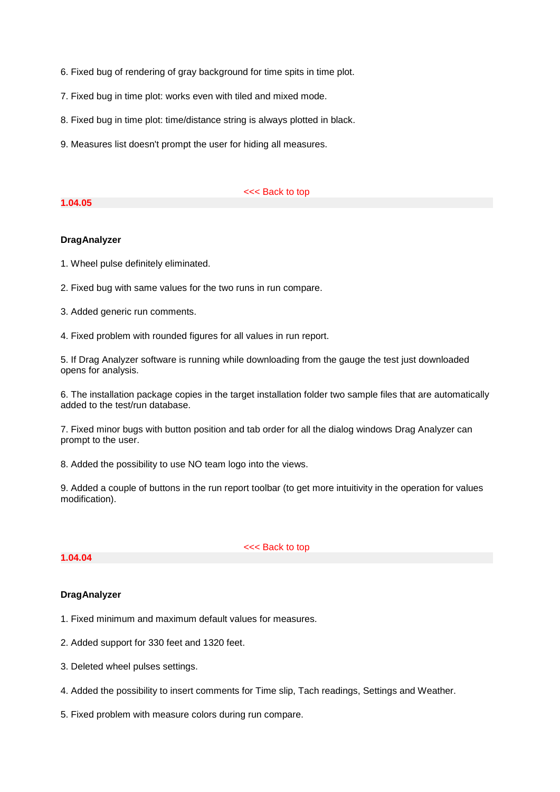- 6. Fixed bug of rendering of gray background for time spits in time plot.
- 7. Fixed bug in time plot: works even with tiled and mixed mode.
- 8. Fixed bug in time plot: time/distance string is always plotted in black.
- 9. Measures list doesn't prompt the user for hiding all measures.

#### **1.04.05**

#### <<< Back to top

#### **DragAnalyzer**

1. Wheel pulse definitely eliminated.

2. Fixed bug with same values for the two runs in run compare.

3. Added generic run comments.

4. Fixed problem with rounded figures for all values in run report.

5. If Drag Analyzer software is running while downloading from the gauge the test just downloaded opens for analysis.

6. The installation package copies in the target installation folder two sample files that are automatically added to the test/run database.

7. Fixed minor bugs with button position and tab order for all the dialog windows Drag Analyzer can prompt to the user.

8. Added the possibility to use NO team logo into the views.

9. Added a couple of buttons in the run report toolbar (to get more intuitivity in the operation for values modification).

#### **1.04.04**

<<< Back to top

# **DragAnalyzer**

- 1. Fixed minimum and maximum default values for measures.
- 2. Added support for 330 feet and 1320 feet.
- 3. Deleted wheel pulses settings.
- 4. Added the possibility to insert comments for Time slip, Tach readings, Settings and Weather.
- 5. Fixed problem with measure colors during run compare.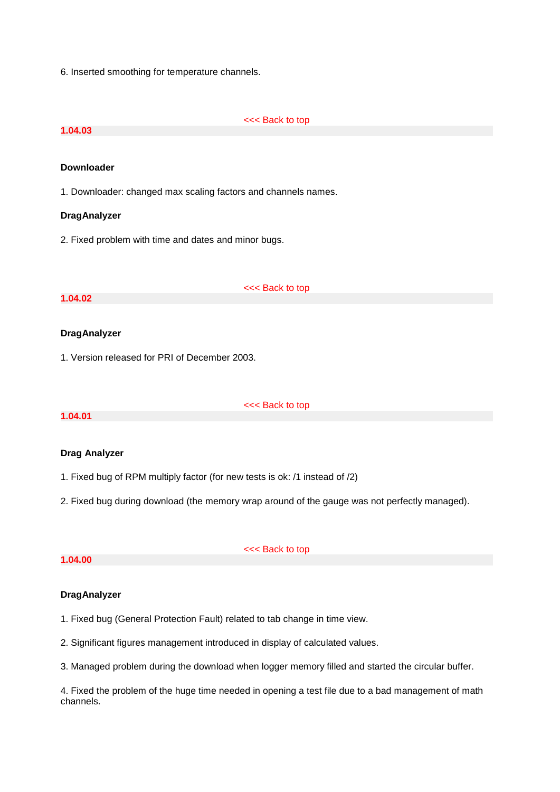6. Inserted smoothing for temperature channels.

#### <<< Back to top

# **1.04.03**

#### **Downloader**

1. Downloader: changed max scaling factors and channels names.

#### **DragAnalyzer**

2. Fixed problem with time and dates and minor bugs.

#### **1.04.02**

<<< Back to top

#### **DragAnalyzer**

1. Version released for PRI of December 2003.

### **1.04.01**

#### <<< Back to top

#### **Drag Analyzer**

- 1. Fixed bug of RPM multiply factor (for new tests is ok: /1 instead of /2)
- 2. Fixed bug during download (the memory wrap around of the gauge was not perfectly managed).

#### **1.04.00**

#### <<< Back to top

# **DragAnalyzer**

- 1. Fixed bug (General Protection Fault) related to tab change in time view.
- 2. Significant figures management introduced in display of calculated values.
- 3. Managed problem during the download when logger memory filled and started the circular buffer.

4. Fixed the problem of the huge time needed in opening a test file due to a bad management of math channels.